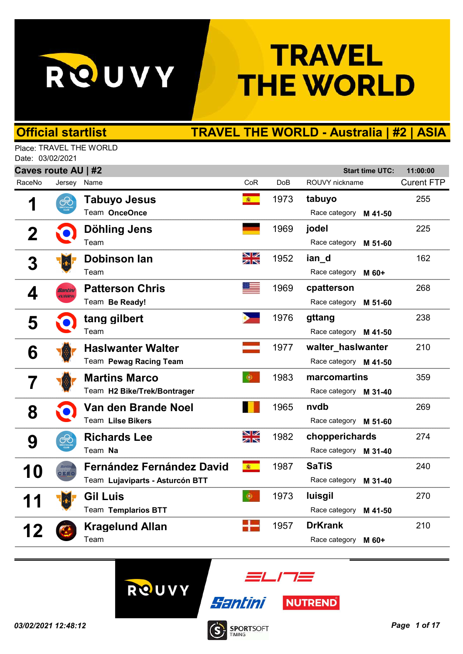

## **TRAVEL THE WORLD**

## Official startlist TRAVEL THE WORLD - Australia | #2 | ASIA

Place: TRAVEL THE WORLD Date: 03/02/2021

| Caves route AU   #2<br><b>Start time UTC:</b><br>11:00:00 |         |                                  |          |                 |                        |                   |  |  |  |
|-----------------------------------------------------------|---------|----------------------------------|----------|-----------------|------------------------|-------------------|--|--|--|
| RaceNo                                                    | Jersey  | Name                             | CoR      | Do <sub>B</sub> | ROUVY nickname         | <b>Curent FTP</b> |  |  |  |
| 1                                                         | €       | Tabuyo Jesus                     | <b>高</b> | 1973            | tabuyo                 | 255               |  |  |  |
|                                                           |         | Team OnceOnce                    |          |                 | Race category M 41-50  |                   |  |  |  |
|                                                           |         | Döhling Jens                     |          | 1969            | jodel                  | 225               |  |  |  |
|                                                           |         | Team                             |          |                 | Race category M 51-60  |                   |  |  |  |
| 3                                                         |         | <b>Dobinson lan</b>              | XK       | 1952            | ian_d                  | 162               |  |  |  |
|                                                           |         | Team                             |          |                 | Race category M 60+    |                   |  |  |  |
|                                                           | Santini | <b>Patterson Chris</b>           |          | 1969            | cpatterson             | 268               |  |  |  |
| 4                                                         | arento. | Team Be Ready!                   |          |                 | Race category M 51-60  |                   |  |  |  |
| 5                                                         |         | tang gilbert                     |          | 1976            | gttang                 | 238               |  |  |  |
|                                                           |         | Team                             |          |                 | Race category M 41-50  |                   |  |  |  |
| 6                                                         |         | <b>Haslwanter Walter</b>         |          | 1977            | walter_hasIwanter      | 210               |  |  |  |
|                                                           |         | Team Pewag Racing Team           |          |                 | Race category M 41-50  |                   |  |  |  |
|                                                           |         | <b>Martins Marco</b>             | $\Phi$   | 1983            | marcomartins           | 359               |  |  |  |
|                                                           |         | Team H2 Bike/Trek/Bontrager      |          |                 | Race category M 31-40  |                   |  |  |  |
| 8                                                         |         | Van den Brande Noel              |          | 1965            | nydb                   | 269               |  |  |  |
|                                                           |         | <b>Team Lilse Bikers</b>         |          |                 | Race category M 51-60  |                   |  |  |  |
|                                                           | €       | <b>Richards Lee</b>              | NK<br>NK | 1982            | chopperichards         | 274               |  |  |  |
| 9                                                         |         | Team Na                          |          |                 | Race category M 31-40  |                   |  |  |  |
|                                                           |         | <b>Fernández Fernández David</b> | 春        | 1987            | <b>SaTiS</b>           | 240               |  |  |  |
| <b>10</b>                                                 | CERC    | Team Lujaviparts - Asturcón BTT  |          |                 | Race category M 31-40  |                   |  |  |  |
|                                                           |         | <b>Gil Luis</b>                  | ۰        | 1973            | luisgil                | 270               |  |  |  |
|                                                           |         | Team Templarios BTT              |          |                 | Race category M 41-50  |                   |  |  |  |
|                                                           |         | <b>Kragelund Allan</b>           |          | 1957            | <b>DrKrank</b>         | 210               |  |  |  |
| 12                                                        |         | Team                             |          |                 | Race category<br>M 60+ |                   |  |  |  |
|                                                           |         |                                  |          |                 |                        |                   |  |  |  |





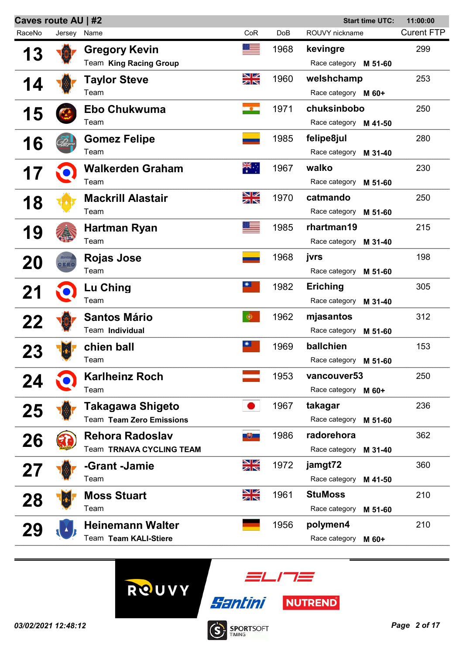| Caves route AU   #2<br><b>Start time UTC:</b><br>11:00:00 |             |                          |                      |      |                          |                   |  |
|-----------------------------------------------------------|-------------|--------------------------|----------------------|------|--------------------------|-------------------|--|
| RaceNo                                                    | Jersey Name |                          | CoR                  | DoB  | ROUVY nickname           | <b>Curent FTP</b> |  |
| 13                                                        |             | <b>Gregory Kevin</b>     | ø,                   | 1968 | kevingre                 | 299               |  |
|                                                           |             | Team King Racing Group   |                      |      | Race category M 51-60    |                   |  |
| 14                                                        |             | Taylor Steve             | NK<br>AR             | 1960 | welshchamp               | 253               |  |
|                                                           |             | Team                     |                      |      | Race category M 60+      |                   |  |
|                                                           |             | <b>Ebo Chukwuma</b>      | $\bullet$            | 1971 | chuksinbobo              | 250               |  |
| 15                                                        |             | Team                     |                      |      | Race category M 41-50    |                   |  |
| 16                                                        |             | <b>Gomez Felipe</b>      |                      | 1985 | felipe8jul               | 280               |  |
|                                                           |             | Team                     |                      |      | Race category<br>M 31-40 |                   |  |
|                                                           |             | <b>Walkerden Graham</b>  | $\frac{1}{\sqrt{2}}$ | 1967 | walko                    | 230               |  |
|                                                           |             | Team                     |                      |      | Race category<br>M 51-60 |                   |  |
| 18                                                        |             | <b>Mackrill Alastair</b> | XK<br>X              | 1970 | catmando                 | 250               |  |
|                                                           |             | Team                     |                      |      | Race category<br>M 51-60 |                   |  |
| 19                                                        |             | Hartman Ryan             |                      | 1985 | rhartman19               | 215               |  |
|                                                           |             | Team                     |                      |      | Race category M 31-40    |                   |  |
|                                                           |             | <b>Rojas Jose</b>        |                      | 1968 | jvrs                     | 198               |  |
| 20                                                        | CERC        | Team                     |                      |      | Race category<br>M 51-60 |                   |  |
| 21                                                        |             | Lu Ching                 |                      | 1982 | <b>Eriching</b>          | 305               |  |
|                                                           |             | Team                     |                      |      | Race category<br>M 31-40 |                   |  |
| 22                                                        |             | <b>Santos Mário</b>      | $\bullet$            | 1962 | mjasantos                | 312               |  |
|                                                           |             | Team Individual          |                      |      | Race category<br>M 51-60 |                   |  |
|                                                           |             | chien ball               | ●■                   | 1969 | ballchien                | 153               |  |
|                                                           |             | Team                     |                      |      | Race category M 51-60    |                   |  |
|                                                           |             | <b>Karlheinz Roch</b>    |                      | 1953 | vancouver53              | 250               |  |
| 24                                                        |             | Team                     |                      |      | Race category M 60+      |                   |  |
| 25                                                        |             | Takagawa Shigeto         |                      | 1967 | takagar                  | 236               |  |
|                                                           |             | Team Team Zero Emissions |                      |      | Race category<br>M 51-60 |                   |  |
| 26                                                        |             | <b>Rehora Radoslav</b>   | 風勢に                  | 1986 | radorehora               | 362               |  |
|                                                           |             | Team TRNAVA CYCLING TEAM |                      |      | Race category<br>M 31-40 |                   |  |
|                                                           |             | -Grant -Jamie            | NK<br>AK             | 1972 | jamgt72                  | 360               |  |
| 27                                                        |             | Team                     |                      |      | Race category<br>M 41-50 |                   |  |
|                                                           |             | <b>Moss Stuart</b>       | NK<br>NK             | 1961 | <b>StuMoss</b>           | 210               |  |
| <b>28</b>                                                 |             | Team                     |                      |      | Race category<br>M 51-60 |                   |  |
|                                                           |             | <b>Heinemann Walter</b>  |                      | 1956 | polymen4                 | 210               |  |
|                                                           |             | Team Team KALI-Stiere    |                      |      | Race category<br>M 60+   |                   |  |
|                                                           |             |                          |                      |      |                          |                   |  |





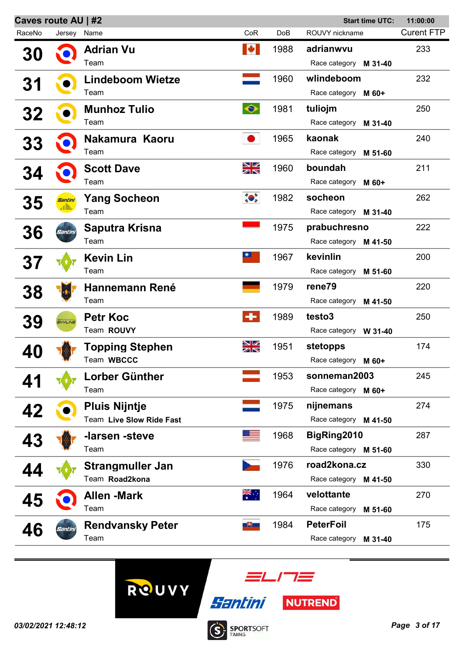| Caves route AU   #2<br><b>Start time UTC:</b><br>11:00:00 |             |                          |                                                                                                                                                                                                                                                                                                                                                                 |                 |                          |                   |
|-----------------------------------------------------------|-------------|--------------------------|-----------------------------------------------------------------------------------------------------------------------------------------------------------------------------------------------------------------------------------------------------------------------------------------------------------------------------------------------------------------|-----------------|--------------------------|-------------------|
| RaceNo                                                    | Jersey Name |                          | CoR                                                                                                                                                                                                                                                                                                                                                             | Do <sub>B</sub> | ROUVY nickname           | <b>Curent FTP</b> |
| 30                                                        |             | <b>Adrian Vu</b>         | M                                                                                                                                                                                                                                                                                                                                                               | 1988            | adrianwvu                | 233               |
|                                                           |             | Team                     |                                                                                                                                                                                                                                                                                                                                                                 |                 | Race category M 31-40    |                   |
| 31                                                        |             | <b>Lindeboom Wietze</b>  |                                                                                                                                                                                                                                                                                                                                                                 | 1960            | wlindeboom               | 232               |
|                                                           |             | Team                     |                                                                                                                                                                                                                                                                                                                                                                 |                 | Race category M 60+      |                   |
| 32                                                        |             | <b>Munhoz Tulio</b>      | $\bullet$                                                                                                                                                                                                                                                                                                                                                       | 1981            | tuliojm                  | 250               |
|                                                           |             | Team                     |                                                                                                                                                                                                                                                                                                                                                                 |                 | Race category M 31-40    |                   |
| 33                                                        |             | Nakamura Kaoru           |                                                                                                                                                                                                                                                                                                                                                                 | 1965            | kaonak                   | 240               |
|                                                           |             | Team                     |                                                                                                                                                                                                                                                                                                                                                                 |                 | Race category M 51-60    |                   |
| <b>34</b>                                                 |             | <b>Scott Dave</b>        | XK                                                                                                                                                                                                                                                                                                                                                              | 1960            | boundah                  | 211               |
|                                                           |             | Team                     |                                                                                                                                                                                                                                                                                                                                                                 |                 | Race category M 60+      |                   |
| 35                                                        | Santini     | <b>Yang Socheon</b>      | $\begin{picture}(120,10) \put(0,0){\line(1,0){15}} \put(15,0){\line(1,0){15}} \put(15,0){\line(1,0){15}} \put(15,0){\line(1,0){15}} \put(15,0){\line(1,0){15}} \put(15,0){\line(1,0){15}} \put(15,0){\line(1,0){15}} \put(15,0){\line(1,0){15}} \put(15,0){\line(1,0){15}} \put(15,0){\line(1,0){15}} \put(15,0){\line(1,0){15}} \put(15,0){\line($             | 1982            | socheon                  | 262               |
|                                                           |             | Team                     |                                                                                                                                                                                                                                                                                                                                                                 |                 | Race category M 31-40    |                   |
| 36                                                        | Santini     | Saputra Krisna           |                                                                                                                                                                                                                                                                                                                                                                 | 1975            | prabuchresno             | 222               |
|                                                           |             | Team                     |                                                                                                                                                                                                                                                                                                                                                                 |                 | Race category M 41-50    |                   |
| <b>37</b>                                                 |             | <b>Kevin Lin</b>         | $\frac{1}{2} \sum_{i=1}^{n} \frac{1}{i} \sum_{j=1}^{n} \frac{1}{j} \sum_{j=1}^{n} \frac{1}{j} \sum_{j=1}^{n} \frac{1}{j} \sum_{j=1}^{n} \frac{1}{j} \sum_{j=1}^{n} \frac{1}{j} \sum_{j=1}^{n} \frac{1}{j} \sum_{j=1}^{n} \frac{1}{j} \sum_{j=1}^{n} \frac{1}{j} \sum_{j=1}^{n} \frac{1}{j} \sum_{j=1}^{n} \frac{1}{j} \sum_{j=1}^{n} \frac{1}{j} \sum_{j=1}^{n$ | 1967            | kevinlin                 | 200               |
|                                                           |             | Team                     |                                                                                                                                                                                                                                                                                                                                                                 |                 | Race category M 51-60    |                   |
| 38                                                        |             | <b>Hannemann René</b>    |                                                                                                                                                                                                                                                                                                                                                                 | 1979            | rene79                   | 220               |
|                                                           |             | Team                     |                                                                                                                                                                                                                                                                                                                                                                 |                 | Race category M 41-50    |                   |
| 39                                                        | SKTLINE     | <b>Petr Koc</b>          | $\div$                                                                                                                                                                                                                                                                                                                                                          | 1989            | testo3                   | 250               |
|                                                           |             | Team ROUVY               |                                                                                                                                                                                                                                                                                                                                                                 |                 | Race category W 31-40    |                   |
| 40                                                        |             | Topping Stephen          | NK<br>NK                                                                                                                                                                                                                                                                                                                                                        | 1951            | stetopps                 | 174               |
|                                                           |             | Team WBCCC               |                                                                                                                                                                                                                                                                                                                                                                 |                 | Race category M 60+      |                   |
|                                                           |             | Lorber Günther           |                                                                                                                                                                                                                                                                                                                                                                 | 1953            | sonneman2003             | 245               |
|                                                           |             | Team                     |                                                                                                                                                                                                                                                                                                                                                                 |                 | Race category M 60+      |                   |
| 42                                                        |             | <b>Pluis Nijntje</b>     |                                                                                                                                                                                                                                                                                                                                                                 | 1975            | nijnemans                | 274               |
|                                                           |             | Team Live Slow Ride Fast |                                                                                                                                                                                                                                                                                                                                                                 |                 | Race category M 41-50    |                   |
| 43                                                        |             | -larsen -steve           |                                                                                                                                                                                                                                                                                                                                                                 | 1968            | BigRing2010              | 287               |
|                                                           |             | Team                     |                                                                                                                                                                                                                                                                                                                                                                 |                 | Race category M 51-60    |                   |
|                                                           |             | <b>Strangmuller Jan</b>  |                                                                                                                                                                                                                                                                                                                                                                 | 1976            | road2kona.cz             | 330               |
|                                                           |             | Team Road2kona           |                                                                                                                                                                                                                                                                                                                                                                 |                 | Race category M 41-50    |                   |
| 45                                                        |             | <b>Allen -Mark</b>       | ्रें≭                                                                                                                                                                                                                                                                                                                                                           | 1964            | velottante               | 270               |
|                                                           |             | Team                     |                                                                                                                                                                                                                                                                                                                                                                 |                 | Race category<br>M 51-60 |                   |
| 46                                                        | Santin      | <b>Rendvansky Peter</b>  | 551-                                                                                                                                                                                                                                                                                                                                                            | 1984            | <b>PeterFoil</b>         | 175               |
|                                                           |             | Team                     |                                                                                                                                                                                                                                                                                                                                                                 |                 | Race category<br>M 31-40 |                   |
|                                                           |             |                          |                                                                                                                                                                                                                                                                                                                                                                 |                 |                          |                   |





**SPORTSOFT** 

 $\dot{\textbf{S}}$ 

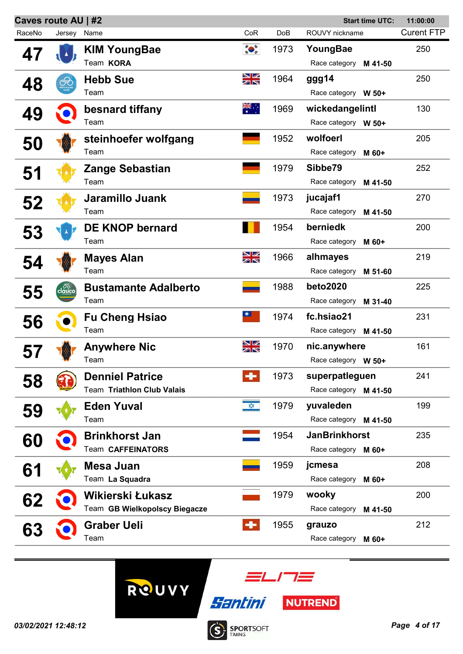|        | Caves route AU   #2 |                               |                  | <b>Start time UTC:</b> |                          |                   |
|--------|---------------------|-------------------------------|------------------|------------------------|--------------------------|-------------------|
| RaceNo | Jersey              | Name                          | CoR              | <b>DoB</b>             | ROUVY nickname           | <b>Curent FTP</b> |
| 47     |                     | <b>KIM YoungBae</b>           | $\sum_{i=1}^{n}$ | 1973                   | YoungBae                 | 250               |
|        |                     | Team KORA                     |                  |                        | Race category M 41-50    |                   |
| 48     | ∉                   | <b>Hebb Sue</b>               | XK               | 1964                   | ggg14                    | 250               |
|        |                     | Team                          |                  |                        | Race category W 50+      |                   |
| 49     |                     | besnard tiffany               | त्रें≍           | 1969                   | wickedangelintl          | 130               |
|        |                     | Team                          |                  |                        | Race category W 50+      |                   |
| 50     |                     | steinhoefer wolfgang          |                  | 1952                   | wolfoerl                 | 205               |
|        |                     | Team                          |                  |                        | Race category<br>M 60+   |                   |
| 51     |                     | <b>Zange Sebastian</b>        |                  | 1979                   | Sibbe79                  | 252               |
|        |                     | Team                          |                  |                        | Race category<br>M 41-50 |                   |
| 52     |                     | Jaramillo Juank               |                  | 1973                   | jucajaf1                 | 270               |
|        |                     | Team                          |                  |                        | Race category<br>M 41-50 |                   |
| 53     |                     | <b>DE KNOP bernard</b>        |                  | 1954                   | berniedk                 | 200               |
|        |                     | Team                          |                  |                        | Race category<br>M 60+   |                   |
| 54     |                     | <b>Mayes Alan</b>             | NK<br>M          | 1966                   | alhmayes                 | 219               |
|        |                     | Team                          |                  |                        | Race category<br>M 51-60 |                   |
| 55     | clásico             | <b>Bustamante Adalberto</b>   |                  | 1988                   | <b>beto2020</b>          | 225               |
|        |                     | Team                          |                  |                        | Race category<br>M 31-40 |                   |
| 56     |                     | <b>Fu Cheng Hsiao</b>         | $\bullet$        | 1974                   | fc.hsiao21               | 231               |
|        |                     | Team                          |                  |                        | Race category M 41-50    |                   |
|        |                     | <b>Anywhere Nic</b>           | NK<br>NK         | 1970                   | nic.anywhere             | 161               |
|        |                     | Team                          |                  |                        | Race category W 50+      |                   |
| 58     |                     | <b>Denniel Patrice</b>        |                  | 1973                   | superpatleguen           | 241               |
|        |                     | Team Triathlon Club Valais    |                  |                        | Race category M 41-50    |                   |
| 59     |                     | <b>Eden Yuval</b>             | $\frac{1}{2}$    | 1979                   | yuvaleden                | 199               |
|        |                     | Team                          |                  |                        | Race category M 41-50    |                   |
| 60     |                     | <b>Brinkhorst Jan</b>         |                  | 1954                   | <b>JanBrinkhorst</b>     | 235               |
|        |                     | Team CAFFEINATORS             |                  |                        | Race category M 60+      |                   |
| 61     |                     | Mesa Juan                     |                  | 1959                   | jcmesa                   | 208               |
|        |                     | Team La Squadra               |                  |                        | Race category<br>M 60+   |                   |
| 62     |                     | Wikierski Łukasz              |                  | 1979                   | wooky                    | 200               |
|        |                     | Team GB Wielkopolscy Biegacze |                  |                        | Race category<br>M 41-50 |                   |
| 63     |                     | <b>Graber Ueli</b>            | $\bullet$        | 1955                   | grauzo                   | 212               |
|        |                     | Team                          |                  |                        | Race category<br>M 60+   |                   |
|        |                     |                               |                  |                        |                          |                   |

ROUVY



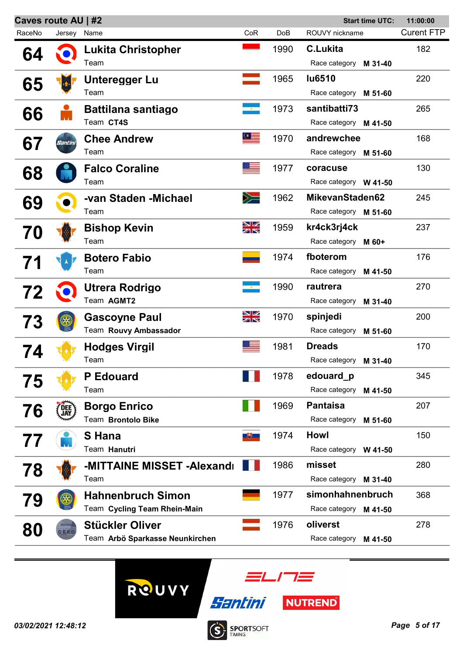| Caves route AU   #2<br><b>Start time UTC:</b><br>11:00:00 |            |                                 |          |            |                          |                   |
|-----------------------------------------------------------|------------|---------------------------------|----------|------------|--------------------------|-------------------|
| RaceNo                                                    | Jersey     | Name                            | CoR      | <b>DoB</b> | ROUVY nickname           | <b>Curent FTP</b> |
| 64                                                        |            | <b>Lukita Christopher</b>       |          | 1990       | <b>C.Lukita</b>          | 182               |
|                                                           |            | Team                            |          |            | Race category<br>M 31-40 |                   |
|                                                           |            | Unteregger Lu                   |          | 1965       | <b>lu6510</b>            | 220               |
| 65                                                        |            | Team                            |          |            | Race category M 51-60    |                   |
|                                                           |            | <b>Battilana santiago</b>       |          | 1973       | santibatti73             | 265               |
| 66                                                        |            | Team CT4S                       |          |            | Race category M 41-50    |                   |
| 67                                                        | Santini    | <b>Chee Andrew</b>              | $\Omega$ | 1970       | andrewchee               | 168               |
|                                                           |            | Team                            |          |            | Race category M 51-60    |                   |
|                                                           |            | <b>Falco Coraline</b>           |          | 1977       | coracuse                 | 130               |
| 68                                                        |            | Team                            |          |            | Race category W 41-50    |                   |
|                                                           |            | -van Staden -Michael            | $\gg$    | 1962       | MikevanStaden62          | 245               |
| 69                                                        |            | Team                            |          |            | Race category M 51-60    |                   |
|                                                           |            | <b>Bishop Kevin</b>             | NK<br>AK | 1959       | kr4ck3rj4ck              | 237               |
| 70                                                        |            | Team                            |          |            | Race category M 60+      |                   |
|                                                           |            | <b>Botero Fabio</b>             |          | 1974       | fboterom                 | 176               |
|                                                           |            | Team                            |          |            | Race category<br>M 41-50 |                   |
|                                                           |            | Utrera Rodrigo                  |          | 1990       | rautrera                 | 270               |
| 72                                                        |            | Team AGMT2                      |          |            | Race category<br>M 31-40 |                   |
|                                                           |            | <b>Gascoyne Paul</b>            | NK<br>Ak | 1970       | spinjedi                 | 200               |
| 73                                                        |            | Team Rouvy Ambassador           |          |            | Race category<br>M 51-60 |                   |
|                                                           |            | <b>Hodges Virgil</b>            |          | 1981       | <b>Dreads</b>            | 170               |
| 74                                                        |            | Team                            |          |            | Race category<br>M 31-40 |                   |
|                                                           |            | <b>P</b> Edouard                |          | 1978       | edouard p                | 345               |
| 75                                                        |            | Team                            |          |            | Race category<br>M 41-50 |                   |
|                                                           |            | <b>Borgo Enrico</b>             |          | 1969       | <b>Pantaisa</b>          | 207               |
| 76                                                        | <b>JAY</b> | Team Brontolo Bike              |          |            | Race category<br>M 51-60 |                   |
|                                                           |            | S Hana                          |          | 1974       | <b>Howl</b>              | 150               |
| 77                                                        |            | Team Hanutri                    |          |            | Race category W 41-50    |                   |
|                                                           |            | -MITTAINE MISSET -Alexandr      |          | 1986       | misset                   | 280               |
| 78                                                        |            | Team                            |          |            | Race category<br>M 31-40 |                   |
|                                                           |            | <b>Hahnenbruch Simon</b>        |          | 1977       | simonhahnenbruch         | 368               |
| 79                                                        |            | Team Cycling Team Rhein-Main    |          |            | Race category M 41-50    |                   |
|                                                           |            | <b>Stückler Oliver</b>          |          | 1976       | oliverst                 | 278               |
| 80                                                        | <b>DER</b> | Team Arbö Sparkasse Neunkirchen |          |            | Race category<br>M 41-50 |                   |
|                                                           |            |                                 |          |            |                          |                   |



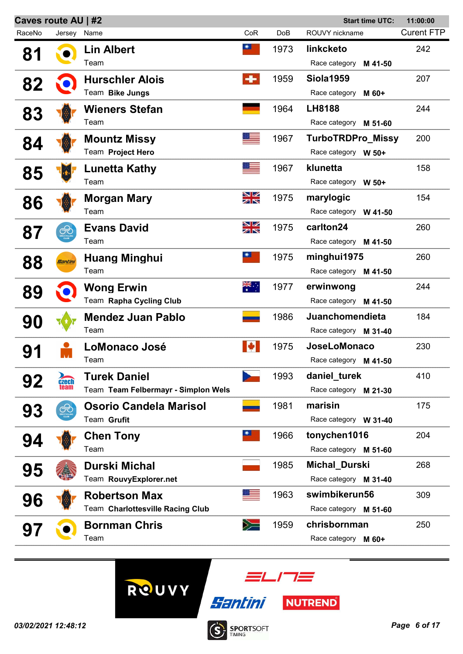| Caves route AU   #2 |                      |                                     | <b>Start time UTC:</b> |      |                          | 11:00:00          |
|---------------------|----------------------|-------------------------------------|------------------------|------|--------------------------|-------------------|
| RaceNo              | Jersey               | Name                                | CoR                    | DoB  | ROUVY nickname           | <b>Curent FTP</b> |
| 81                  |                      | <b>Lin Albert</b>                   | $\bullet$              | 1973 | linkcketo                | 242               |
|                     |                      | Team                                |                        |      | Race category<br>M 41-50 |                   |
| 82                  |                      | <b>Hurschler Alois</b>              | ÷                      | 1959 | <b>Siola1959</b>         | 207               |
|                     |                      | Team Bike Jungs                     |                        |      | Race category<br>M 60+   |                   |
| 83                  |                      | <b>Wieners Stefan</b>               |                        | 1964 | <b>LH8188</b>            | 244               |
|                     |                      | Team                                |                        |      | Race category M 51-60    |                   |
| 84                  |                      | <b>Mountz Missy</b>                 |                        | 1967 | <b>TurboTRDPro_Missy</b> | 200               |
|                     |                      | Team Project Hero                   |                        |      | Race category W 50+      |                   |
|                     |                      | <b>Lunetta Kathy</b>                |                        | 1967 | klunetta                 | 158               |
| 85                  |                      | Team                                |                        |      | Race category W 50+      |                   |
|                     |                      | Morgan Mary                         | NK<br>AR               | 1975 | marylogic                | 154               |
| 86                  |                      | Team                                |                        |      | Race category W 41-50    |                   |
|                     |                      | <b>Evans David</b>                  | NK<br>AR               | 1975 | carlton24                | 260               |
| 87                  | <b>CHU</b>           | Team                                |                        |      | Race category M 41-50    |                   |
|                     | Santini              | <b>Huang Minghui</b>                | $\bullet$              | 1975 | minghui1975              | 260               |
| 88                  |                      | Team                                |                        |      | Race category M 41-50    |                   |
|                     |                      | <b>Wong Erwin</b>                   | ैं                     | 1977 | erwinwong                | 244               |
| 89                  |                      | Team Rapha Cycling Club             |                        |      | Race category M 41-50    |                   |
|                     |                      | <b>Mendez Juan Pablo</b>            |                        | 1986 | Juanchomendieta          | 184               |
| 90                  |                      | Team                                |                        |      | Race category M 31-40    |                   |
|                     |                      | <b>LoMonaco José</b>                |                        | 1975 | <b>JoseLoMonaco</b>      | 230               |
| 91                  |                      | Team                                |                        |      | Race category M 41-50    |                   |
|                     |                      | <b>Turek Daniel</b>                 |                        | 1993 | daniel turek             | 410               |
| 92                  | <b>Czech</b><br>team | Team Team Felbermayr - Simplon Wels |                        |      | Race category M 21-30    |                   |
|                     | ⇎                    | <b>Osorio Candela Marisol</b>       |                        | 1981 | marisin                  | 175               |
| 93                  |                      | Team Grufit                         |                        |      | Race category W 31-40    |                   |
|                     |                      | <b>Chen Tony</b>                    | 美                      | 1966 | tonychen1016             | 204               |
| 94                  |                      | Team                                |                        |      | Race category M 51-60    |                   |
|                     |                      | <b>Durski Michal</b>                |                        | 1985 | Michal_Durski            | 268               |
| 95                  |                      | Team RouvyExplorer.net              |                        |      | Race category M 31-40    |                   |
|                     |                      | <b>Robertson Max</b>                |                        | 1963 | swimbikerun56            | 309               |
| 96                  |                      | Team Charlottesville Racing Club    |                        |      | Race category M 51-60    |                   |
|                     |                      | <b>Bornman Chris</b>                | $\geqslant$            | 1959 | chrisbornman             | 250               |
| 97                  |                      | Team                                |                        |      | Race category M 60+      |                   |
|                     |                      |                                     |                        |      |                          |                   |





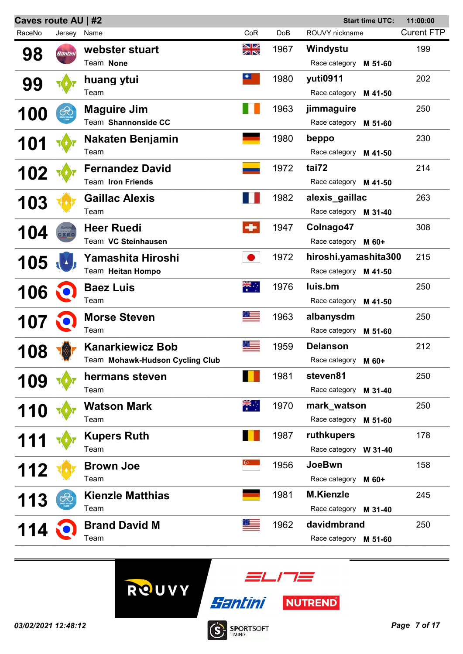| Caves route AU   #2<br><b>Start time UTC:</b><br>11:00:00 |             |                                 |           |                 |                          |                   |
|-----------------------------------------------------------|-------------|---------------------------------|-----------|-----------------|--------------------------|-------------------|
| RaceNo                                                    | Jersey Name |                                 | CoR       | Do <sub>B</sub> | ROUVY nickname           | <b>Curent FTP</b> |
| 98                                                        | Santini     | webster stuart                  | XK<br>X   | 1967            | Windystu                 | 199               |
|                                                           |             | Team None                       |           |                 | Race category<br>M 51-60 |                   |
|                                                           |             | huang ytui                      | $\bullet$ | 1980            | yuti0911                 | 202               |
| 99                                                        |             | Team                            |           |                 | Race category M 41-50    |                   |
|                                                           | ఉు          | <b>Maguire Jim</b>              |           | 1963            | jimmaguire               | 250               |
| <b>100</b>                                                |             | Team Shannonside CC             |           |                 | Race category M 51-60    |                   |
|                                                           |             | Nakaten Benjamin                |           | 1980            | beppo                    | 230               |
| 101                                                       |             | Team                            |           |                 | Race category M 41-50    |                   |
|                                                           |             | <b>Fernandez David</b>          |           | 1972            | tai72                    | 214               |
| 102                                                       |             | Team Iron Friends               |           |                 | Race category M 41-50    |                   |
|                                                           |             | <b>Gaillac Alexis</b>           |           | 1982            | alexis_gaillac           | 263               |
| 103                                                       |             | Team                            |           |                 | Race category M 31-40    |                   |
|                                                           |             | <b>Heer Ruedi</b>               | ٠         | 1947            | Colnago47                | 308               |
| 104                                                       | ERC         | Team VC Steinhausen             |           |                 | Race category M 60+      |                   |
|                                                           |             | Yamashita Hiroshi               |           | 1972            | hiroshi.yamashita300     | 215               |
| 105                                                       |             | Team Heitan Hompo               |           |                 | Race category M 41-50    |                   |
|                                                           |             | <b>Baez Luis</b>                | ्रें≹     | 1976            | luis.bm                  | 250               |
| 106                                                       |             | Team                            |           |                 | Race category<br>M 41-50 |                   |
|                                                           |             | <b>Morse Steven</b>             |           | 1963            | albanysdm                | 250               |
| <b>107</b>                                                |             | Team                            |           |                 | Race category<br>M 51-60 |                   |
|                                                           |             | <b>Kanarkiewicz Bob</b>         |           | 1959            | <b>Delanson</b>          | 212               |
| 108                                                       |             | Team Mohawk-Hudson Cycling Club |           |                 | Race category M 60+      |                   |
|                                                           |             | hermans steven                  |           | 1981            | steven81                 | 250               |
| <b>109</b>                                                |             | Team                            |           |                 | Race category M 31-40    |                   |
|                                                           |             | <b>Watson Mark</b>              | ॣैं≍      | 1970            | mark_watson              | 250               |
| <b>110</b>                                                |             | Team                            |           |                 | Race category M 51-60    |                   |
|                                                           |             | <b>Kupers Ruth</b>              |           | 1987            | ruthkupers               | 178               |
|                                                           |             | Team                            |           |                 | Race category W 31-40    |                   |
|                                                           |             | <b>Brown Joe</b>                |           | 1956            | <b>JoeBwn</b>            | 158               |
| 112                                                       |             | Team                            |           |                 | Race category M 60+      |                   |
|                                                           |             | <b>Kienzle Matthias</b>         |           | 1981            | <b>M.Kienzle</b>         | 245               |
| 113                                                       |             | Team                            |           |                 | Race category M 31-40    |                   |
|                                                           |             | <b>Brand David M</b>            |           | 1962            | davidmbrand              | 250               |
| 114                                                       |             | Team                            |           |                 | Race category M 51-60    |                   |
|                                                           |             |                                 |           |                 |                          |                   |







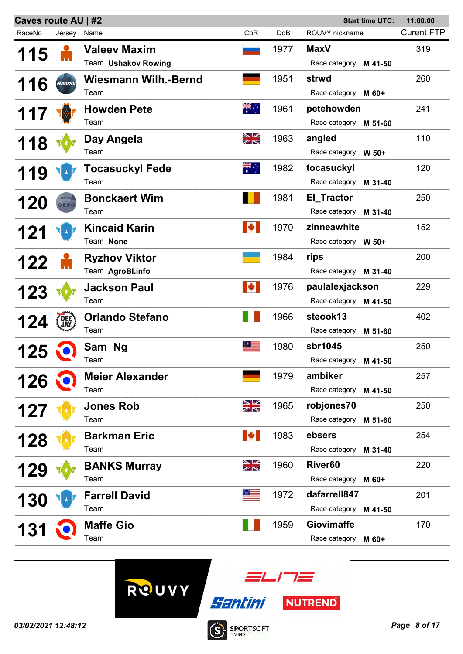| Caves route AU   #2<br><b>Start time UTC:</b><br>11:00:00 |             |                             |            |            |                          |                   |
|-----------------------------------------------------------|-------------|-----------------------------|------------|------------|--------------------------|-------------------|
| RaceNo                                                    | Jersey Name |                             | CoR        | <b>DoB</b> | ROUVY nickname           | <b>Curent FTP</b> |
| 115                                                       |             | <b>Valeev Maxim</b>         |            | 1977       | <b>MaxV</b>              | 319               |
|                                                           |             | Team Ushakov Rowing         |            |            | Race category M 41-50    |                   |
| 116                                                       | Santini     | <b>Wiesmann Wilh.-Bernd</b> |            | 1951       | strwd                    | 260               |
|                                                           |             | Team                        |            |            | Race category M 60+      |                   |
| 117                                                       |             | <b>Howden Pete</b>          | ैं         | 1961       | petehowden               | 241               |
|                                                           |             | Team                        |            |            | Race category M 51-60    |                   |
| 118                                                       |             | Day Angela                  | NK<br>AR   | 1963       | angied                   | 110               |
|                                                           |             | Team                        |            |            | Race category W 50+      |                   |
| 119                                                       |             | <b>Tocasuckyl Fede</b>      | ैं.        | 1982       | tocasuckyl               | 120               |
|                                                           |             | Team                        |            |            | Race category<br>M 31-40 |                   |
| <b>120</b>                                                | CERO        | <b>Bonckaert Wim</b>        |            | 1981       | El_Tractor               | 250               |
|                                                           |             | Team                        |            |            | Race category M 31-40    |                   |
| 121                                                       |             | <b>Kincaid Karin</b>        | M          | 1970       | zinneawhite              | 152               |
|                                                           |             | Team None                   |            |            | Race category W 50+      |                   |
| 122                                                       |             | <b>Ryzhov Viktor</b>        |            | 1984       | rips                     | 200               |
|                                                           |             | Team AgroBl.info            |            |            | Race category M 31-40    |                   |
| <b>123</b>                                                |             | <b>Jackson Paul</b>         | L          | 1976       | paulalexjackson          | 229               |
|                                                           |             | Team                        |            |            | Race category M 41-50    |                   |
| 124                                                       | DEE)        | <b>Orlando Stefano</b>      |            | 1966       | steook13                 | 402               |
|                                                           |             | Team                        |            |            | Race category<br>M 51-60 |                   |
| 125                                                       |             | Sam Ng                      | $\Omega =$ | 1980       | sbr1045                  | 250               |
|                                                           |             | Team                        |            |            | Race category M 41-50    |                   |
| 126                                                       |             | <b>Meier Alexander</b>      |            | 1979       | ambiker                  | 257               |
|                                                           |             | Team                        |            |            | Race category<br>M 41-50 |                   |
| 127                                                       |             | <b>Jones Rob</b>            | NK<br>NK   | 1965       | robjones70               | 250               |
|                                                           |             | Team                        |            |            | Race category<br>M 51-60 |                   |
| 128                                                       |             | <b>Barkman Eric</b>         | LØ         | 1983       | ebsers                   | 254               |
|                                                           |             | Team                        |            |            | Race category M 31-40    |                   |
| 129                                                       |             | <b>BANKS Murray</b>         | NK<br>AK   | 1960       | River <sub>60</sub>      | 220               |
|                                                           |             | Team                        |            |            | Race category M 60+      |                   |
| 130                                                       |             | <b>Farrell David</b>        |            | 1972       | dafarrell847             | 201               |
|                                                           |             | Team                        |            |            | Race category M 41-50    |                   |
| <b>131</b>                                                |             | <b>Maffe Gio</b>            |            | 1959       | <b>Giovimaffe</b>        | 170               |
|                                                           |             | Team                        |            |            | Race category<br>M 60+   |                   |
|                                                           |             |                             |            |            |                          |                   |





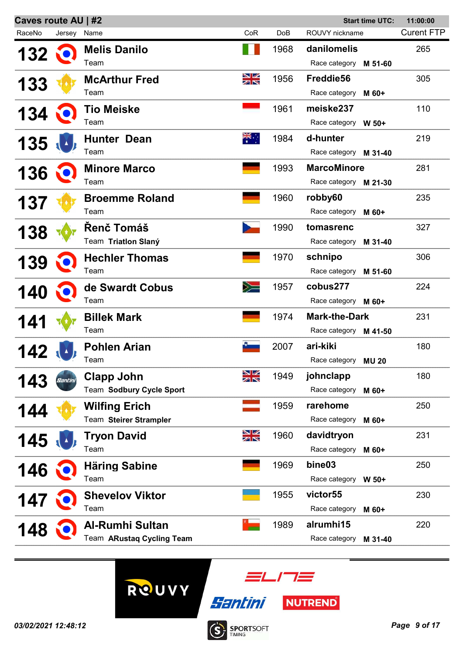| Caves route AU   #2<br><b>Start time UTC:</b><br>11:00:00 |             |                           |          |      |                          |                   |
|-----------------------------------------------------------|-------------|---------------------------|----------|------|--------------------------|-------------------|
| RaceNo                                                    | Jersey Name |                           | CoR      | DoB  | ROUVY nickname           | <b>Curent FTP</b> |
| 132                                                       |             | <b>Melis Danilo</b>       |          | 1968 | danilomelis              | 265               |
|                                                           |             | Team                      |          |      | Race category<br>M 51-60 |                   |
|                                                           |             | <b>McArthur Fred</b>      | NK<br>AR | 1956 | Freddie56                | 305               |
| <b>133</b>                                                |             | Team                      |          |      | Race category<br>M 60+   |                   |
|                                                           |             | <b>Tio Meiske</b>         |          | 1961 | meiske237                | 110               |
| 134                                                       |             | Team                      |          |      | Race category W 50+      |                   |
|                                                           |             | <b>Hunter Dean</b>        | ्रेह्    | 1984 | d-hunter                 | 219               |
| 135                                                       |             | Team                      |          |      | Race category M 31-40    |                   |
|                                                           |             | <b>Minore Marco</b>       |          | 1993 | <b>MarcoMinore</b>       | 281               |
| 136                                                       |             | Team                      |          |      | Race category M 21-30    |                   |
|                                                           |             | <b>Broemme Roland</b>     |          | 1960 | robby60                  | 235               |
| <b>137</b>                                                |             | Team                      |          |      | Race category<br>M 60+   |                   |
|                                                           |             | <b>Renč Tomáš</b>         |          | 1990 | tomasrenc                | 327               |
| <b>138</b>                                                |             | Team Triation Slaný       |          |      | Race category<br>M 31-40 |                   |
|                                                           |             | <b>Hechler Thomas</b>     |          | 1970 | schnipo                  | 306               |
| <b>139</b>                                                |             | Team                      |          |      | Race category<br>M 51-60 |                   |
|                                                           |             | de Swardt Cobus           | ╳═       | 1957 | cobus277                 | 224               |
| <b>140</b>                                                |             | Team                      |          |      | Race category M 60+      |                   |
| 141                                                       |             | <b>Billek Mark</b>        |          | 1974 | <b>Mark-the-Dark</b>     | 231               |
|                                                           |             | Team                      |          |      | Race category M 41-50    |                   |
|                                                           |             | <b>Pohlen Arian</b>       |          | 2007 | ari-kiki                 | 180               |
|                                                           |             | Team                      |          |      | Race category MU 20      |                   |
| 143                                                       |             | <b>Clapp John</b>         | NK<br>AK | 1949 | johnclapp                | 180               |
|                                                           |             | Team Sodbury Cycle Sport  |          |      | Race category<br>M 60+   |                   |
| 144                                                       |             | <b>Wilfing Erich</b>      |          | 1959 | rarehome                 | 250               |
|                                                           |             | Team Steirer Strampler    |          |      | Race category<br>M 60+   |                   |
| 145                                                       |             | <b>Tryon David</b>        | NK<br>AK | 1960 | davidtryon               | 231               |
|                                                           |             | Team                      |          |      | Race category<br>M 60+   |                   |
| 146                                                       |             | <b>Häring Sabine</b>      |          | 1969 | bine03                   | 250               |
|                                                           |             | Team                      |          |      | Race category W 50+      |                   |
| 147                                                       |             | <b>Shevelov Viktor</b>    |          | 1955 | victor <sub>55</sub>     | 230               |
|                                                           |             | Team                      |          |      | Race category<br>M 60+   |                   |
| 148                                                       |             | <b>Al-Rumhi Sultan</b>    |          | 1989 | alrumhi15                | 220               |
|                                                           |             | Team ARustaq Cycling Team |          |      | Race category<br>M 31-40 |                   |
|                                                           |             |                           |          |      |                          |                   |



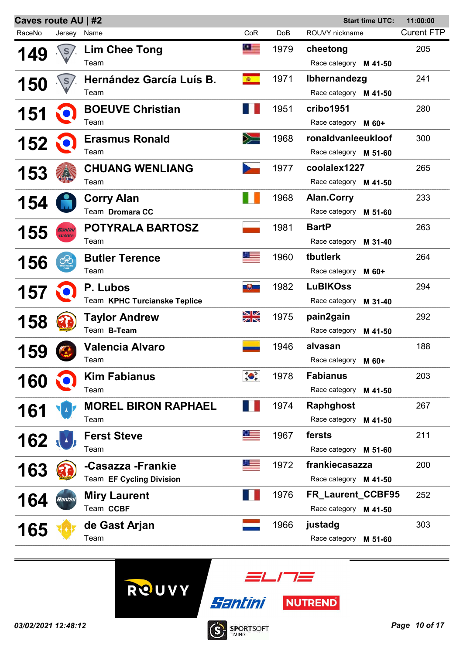| Caves route AU   #2<br><b>Start time UTC:</b><br>11:00:00 |                       |                              |                                                                                                                                                                                                                                                                                                                                                     |      |                          |                   |
|-----------------------------------------------------------|-----------------------|------------------------------|-----------------------------------------------------------------------------------------------------------------------------------------------------------------------------------------------------------------------------------------------------------------------------------------------------------------------------------------------------|------|--------------------------|-------------------|
| RaceNo                                                    | Jersey                | Name                         | CoR                                                                                                                                                                                                                                                                                                                                                 | DoB  | ROUVY nickname           | <b>Curent FTP</b> |
| 49                                                        |                       | <b>Lim Chee Tong</b>         | <u> 91 – </u>                                                                                                                                                                                                                                                                                                                                       | 1979 | cheetong                 | 205               |
|                                                           |                       | Team                         |                                                                                                                                                                                                                                                                                                                                                     |      | Race category M 41-50    |                   |
| <b>150</b>                                                |                       | Hernández García Luís B.     | <b>查</b>                                                                                                                                                                                                                                                                                                                                            | 1971 | Ibhernandezg             | 241               |
|                                                           |                       | Team                         |                                                                                                                                                                                                                                                                                                                                                     |      | Race category M 41-50    |                   |
| <b>151</b>                                                |                       | <b>BOEUVE Christian</b>      |                                                                                                                                                                                                                                                                                                                                                     | 1951 | cribo1951                | 280               |
|                                                           |                       | Team                         |                                                                                                                                                                                                                                                                                                                                                     |      | Race category M 60+      |                   |
| 152                                                       |                       | <b>Erasmus Ronald</b>        | $\geqslant$                                                                                                                                                                                                                                                                                                                                         | 1968 | ronaldvanleeukloof       | 300               |
|                                                           |                       | Team                         |                                                                                                                                                                                                                                                                                                                                                     |      | Race category M 51-60    |                   |
| <b>153</b>                                                |                       | <b>CHUANG WENLIANG</b>       |                                                                                                                                                                                                                                                                                                                                                     | 1977 | coolalex1227             | 265               |
|                                                           |                       | Team                         |                                                                                                                                                                                                                                                                                                                                                     |      | Race category M 41-50    |                   |
| 154                                                       |                       | <b>Corry Alan</b>            |                                                                                                                                                                                                                                                                                                                                                     | 1968 | <b>Alan.Corry</b>        | 233               |
|                                                           |                       | Team Dromara CC              |                                                                                                                                                                                                                                                                                                                                                     |      | Race category<br>M 51-60 |                   |
| 155                                                       |                       | <b>POTYRALA BARTOSZ</b>      |                                                                                                                                                                                                                                                                                                                                                     | 1981 | <b>BartP</b>             | 263               |
|                                                           | <b><i>PERMITA</i></b> | Team                         |                                                                                                                                                                                                                                                                                                                                                     |      | Race category<br>M 31-40 |                   |
| 156                                                       | ೧೮                    | <b>Butler Terence</b>        |                                                                                                                                                                                                                                                                                                                                                     | 1960 | tbutlerk                 | 264               |
|                                                           |                       | Team                         |                                                                                                                                                                                                                                                                                                                                                     |      | Race category<br>M 60+   |                   |
| 157                                                       |                       | P. Lubos                     | 嗯                                                                                                                                                                                                                                                                                                                                                   | 1982 | <b>LuBIKOss</b>          | 294               |
|                                                           |                       | Team KPHC Turcianske Teplice |                                                                                                                                                                                                                                                                                                                                                     |      | Race category<br>M 31-40 |                   |
| 158                                                       |                       | <b>Taylor Andrew</b>         | NK<br>M                                                                                                                                                                                                                                                                                                                                             | 1975 | pain2gain                | 292               |
|                                                           |                       | Team B-Team                  |                                                                                                                                                                                                                                                                                                                                                     |      | Race category<br>M 41-50 |                   |
| 159                                                       |                       | <b>Valencia Alvaro</b>       |                                                                                                                                                                                                                                                                                                                                                     | 1946 | alvasan                  | 188               |
|                                                           |                       | Team                         |                                                                                                                                                                                                                                                                                                                                                     |      | Race category M 60+      |                   |
| 160                                                       |                       | <b>Kim Fabianus</b>          | $\begin{picture}(120,10) \put(0,0){\line(1,0){15}} \put(15,0){\line(1,0){15}} \put(15,0){\line(1,0){15}} \put(15,0){\line(1,0){15}} \put(15,0){\line(1,0){15}} \put(15,0){\line(1,0){15}} \put(15,0){\line(1,0){15}} \put(15,0){\line(1,0){15}} \put(15,0){\line(1,0){15}} \put(15,0){\line(1,0){15}} \put(15,0){\line(1,0){15}} \put(15,0){\line($ | 1978 | <b>Fabianus</b>          | 203               |
|                                                           |                       | Team                         |                                                                                                                                                                                                                                                                                                                                                     |      | Race category M 41-50    |                   |
| 161                                                       |                       | <b>MOREL BIRON RAPHAEL</b>   |                                                                                                                                                                                                                                                                                                                                                     | 1974 | <b>Raphghost</b>         | 267               |
|                                                           |                       | Team                         |                                                                                                                                                                                                                                                                                                                                                     |      | Race category M 41-50    |                   |
| 162                                                       |                       | <b>Ferst Steve</b>           |                                                                                                                                                                                                                                                                                                                                                     | 1967 | fersts                   | 211               |
|                                                           |                       | Team                         |                                                                                                                                                                                                                                                                                                                                                     |      | Race category M 51-60    |                   |
| 163                                                       |                       | -Casazza -Frankie            |                                                                                                                                                                                                                                                                                                                                                     | 1972 | frankiecasazza           | 200               |
|                                                           |                       | Team EF Cycling Division     |                                                                                                                                                                                                                                                                                                                                                     |      | Race category M 41-50    |                   |
| 164                                                       |                       | <b>Miry Laurent</b>          |                                                                                                                                                                                                                                                                                                                                                     | 1976 | FR_Laurent_CCBF95        | 252               |
|                                                           |                       | Team CCBF                    |                                                                                                                                                                                                                                                                                                                                                     |      | Race category M 41-50    |                   |
| <b>165</b>                                                |                       | de Gast Arjan                |                                                                                                                                                                                                                                                                                                                                                     | 1966 | justadg                  | 303               |
|                                                           |                       | Team                         |                                                                                                                                                                                                                                                                                                                                                     |      | Race category M 51-60    |                   |
|                                                           |                       |                              |                                                                                                                                                                                                                                                                                                                                                     |      |                          |                   |





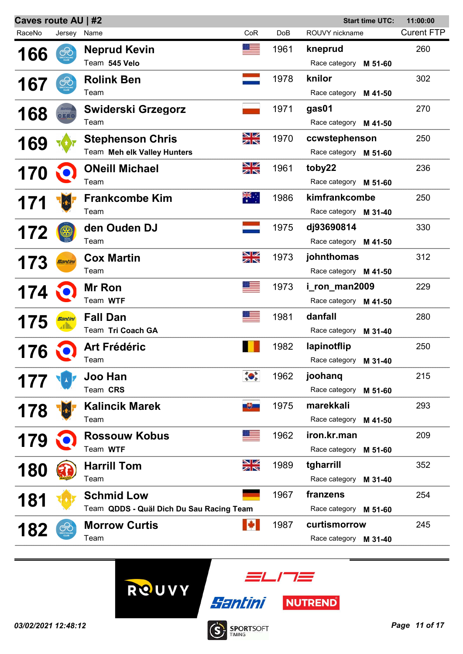| Caves route AU   #2<br><b>Start time UTC:</b><br>11:00:00 |                |                                          |            |      |                          |                   |  |
|-----------------------------------------------------------|----------------|------------------------------------------|------------|------|--------------------------|-------------------|--|
| RaceNo                                                    | Jersey         | Name                                     | CoR        | DoB  | ROUVY nickname           | <b>Curent FTP</b> |  |
| 166                                                       | ⊛              | <b>Neprud Kevin</b>                      | $^{\circ}$ | 1961 | kneprud                  | 260               |  |
|                                                           |                | Team 545 Velo                            |            |      | Race category<br>M 51-60 |                   |  |
| <b>167</b>                                                | ೧೮             | <b>Rolink Ben</b>                        |            | 1978 | knilor                   | 302               |  |
|                                                           |                | Team                                     |            |      | Race category<br>M 41-50 |                   |  |
|                                                           |                | Swiderski Grzegorz                       |            | 1971 | gas01                    | 270               |  |
| 168                                                       | CERO           | Team                                     |            |      | Race category M 41-50    |                   |  |
| <b>169</b>                                                |                | <b>Stephenson Chris</b>                  | NK<br>AR   | 1970 | ccwstephenson            | 250               |  |
|                                                           |                | Team Meh elk Valley Hunters              |            |      | Race category M 51-60    |                   |  |
| 170                                                       |                | <b>ONeill Michael</b>                    | NK<br>N    | 1961 | toby22                   | 236               |  |
|                                                           |                | Team                                     |            |      | Race category M 51-60    |                   |  |
|                                                           |                | <b>Frankcombe Kim</b>                    | ▓€∴        | 1986 | kimfrankcombe            | 250               |  |
| 171                                                       |                | Team                                     |            |      | Race category M 31-40    |                   |  |
| 172                                                       |                | den Ouden DJ                             |            | 1975 | dj93690814               | 330               |  |
|                                                           |                | Team                                     |            |      | Race category M 41-50    |                   |  |
|                                                           |                | <b>Cox Martin</b>                        | NK<br>NK   | 1973 | johnthomas               | 312               |  |
| 173                                                       |                | Team                                     |            |      | Race category M 41-50    |                   |  |
| 174                                                       |                | <b>Mr Ron</b>                            |            | 1973 | i_ron_man2009            | 229               |  |
|                                                           |                | Team WTF                                 |            |      | Race category M 41-50    |                   |  |
| 175                                                       | <u>Santini</u> | <b>Fall Dan</b>                          |            | 1981 | danfall                  | 280               |  |
|                                                           |                | Team Tri Coach GA                        |            |      | Race category<br>M 31-40 |                   |  |
|                                                           |                | <b>Art Frédéric</b>                      |            | 1982 | lapinotflip              | 250               |  |
| 176                                                       |                | Team                                     |            |      | Race category<br>M 31-40 |                   |  |
| 177                                                       |                | Joo Han                                  |            | 1962 | joohang                  | 215               |  |
|                                                           |                | Team CRS                                 |            |      | Race category<br>M 51-60 |                   |  |
| 178                                                       |                | <b>Kalincik Marek</b>                    | 地          | 1975 | marekkali                | 293               |  |
|                                                           |                | Team                                     |            |      | Race category<br>M 41-50 |                   |  |
| 179                                                       |                | <b>Rossouw Kobus</b>                     |            | 1962 | iron.kr.man              | 209               |  |
|                                                           |                | Team WTF                                 |            |      | Race category<br>M 51-60 |                   |  |
| 180                                                       |                | <b>Harrill Tom</b>                       | NK<br>AK   | 1989 | tgharrill                | 352               |  |
|                                                           |                | Team                                     |            |      | Race category<br>M 31-40 |                   |  |
| 181                                                       |                | <b>Schmid Low</b>                        |            | 1967 | franzens                 | 254               |  |
|                                                           |                | Team QDDS - Quäl Dich Du Sau Racing Team |            |      | Race category<br>M 51-60 |                   |  |
| 182                                                       |                | <b>Morrow Curtis</b>                     |            | 1987 | curtismorrow             | 245               |  |
|                                                           |                | Team                                     |            |      | Race category M 31-40    |                   |  |
|                                                           |                |                                          |            |      |                          |                   |  |





**SPORTSOFT** 

 $\dot{\textbf{S}}$ 

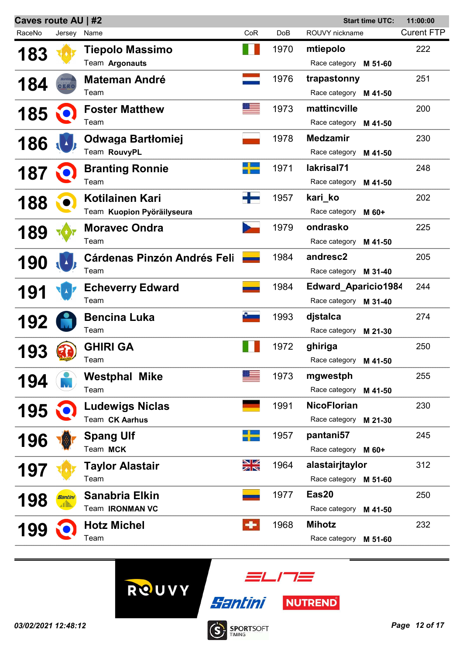| Caves route AU   #2<br><b>Start time UTC:</b> |                |                                    |         |      |                            |         | 11:00:00          |
|-----------------------------------------------|----------------|------------------------------------|---------|------|----------------------------|---------|-------------------|
| RaceNo                                        | Jersey Name    |                                    | CoR     | DoB  | ROUVY nickname             |         | <b>Curent FTP</b> |
| <b>183</b>                                    |                | <b>Tiepolo Massimo</b>             |         | 1970 | mtiepolo                   |         | 222               |
|                                               |                | Team Argonauts                     |         |      | Race category M 51-60      |         |                   |
| 184                                           |                | <b>Mateman André</b>               |         | 1976 | trapastonny                |         | 251               |
|                                               | GERO           | Team                               |         |      | Race category M 41-50      |         |                   |
| 185                                           |                | <b>Foster Matthew</b>              |         | 1973 | mattincville               |         | 200               |
|                                               |                | Team                               |         |      | Race category M 41-50      |         |                   |
| 186                                           |                | Odwaga Bartłomiej                  |         | 1978 | <b>Medzamir</b>            |         | 230               |
|                                               |                | Team RouvyPL                       |         |      | Race category              | M 41-50 |                   |
| 187                                           |                | <b>Branting Ronnie</b>             |         | 1971 | lakrisal71                 |         | 248               |
|                                               |                | Team                               |         |      | Race category              | M 41-50 |                   |
| 188                                           |                | Kotilainen Kari                    |         | 1957 | kari ko                    |         | 202               |
|                                               |                | Team Kuopion Pyöräilyseura         |         |      | Race category              | M 60+   |                   |
| <b>189</b>                                    |                | <b>Moravec Ondra</b>               |         | 1979 | ondrasko                   |         | 225               |
|                                               |                | Team                               |         |      | Race category              | M 41-50 |                   |
| 190                                           |                | <b>Cárdenas Pinzón Andrés Feli</b> |         | 1984 | andresc2                   |         | 205               |
|                                               |                | Team                               |         |      | Race category M 31-40      |         |                   |
| 191                                           |                | <b>Echeverry Edward</b>            |         | 1984 | <b>Edward Aparicio1984</b> |         | 244               |
|                                               |                | Team                               |         |      | Race category M 31-40      |         |                   |
| 192                                           |                | <b>Bencina Luka</b>                | ņ.      | 1993 | djstalca                   |         | 274               |
|                                               |                | Team                               |         |      | Race category              | M 21-30 |                   |
| 93                                            |                | <b>GHIRI GA</b>                    |         | 1972 | ghiriga                    |         | 250               |
|                                               |                | Team                               |         |      | Race category M 41-50      |         |                   |
| 194                                           |                | <b>Westphal Mike</b>               |         | 1973 | mgwestph                   |         | 255               |
|                                               |                | Team                               |         |      | Race category M 41-50      |         |                   |
| 195                                           |                | <b>Ludewigs Niclas</b>             |         | 1991 | <b>NicoFlorian</b>         |         | 230               |
|                                               |                | Team CK Aarhus                     |         |      | Race category              | M 21-30 |                   |
| 196                                           |                | <b>Spang Ulf</b>                   |         | 1957 | pantani57                  |         | 245               |
|                                               |                | Team MCK                           |         |      | Race category M 60+        |         |                   |
| <b>197</b>                                    |                | Taylor Alastair                    | XK<br>X | 1964 | alastairjtaylor            |         | 312               |
|                                               |                | Team                               |         |      | Race category M 51-60      |         |                   |
| <b>198</b>                                    | <u>Santini</u> | <b>Sanabria Elkin</b>              |         | 1977 | Eas20                      |         | 250               |
|                                               |                | Team <b>IRONMAN VC</b>             |         |      | Race category M 41-50      |         |                   |
| 199                                           |                | <b>Hotz Michel</b>                 | 53      | 1968 | <b>Mihotz</b>              |         | 232               |
|                                               |                | Team                               |         |      | Race category              | M 51-60 |                   |
|                                               |                |                                    |         |      |                            |         |                   |





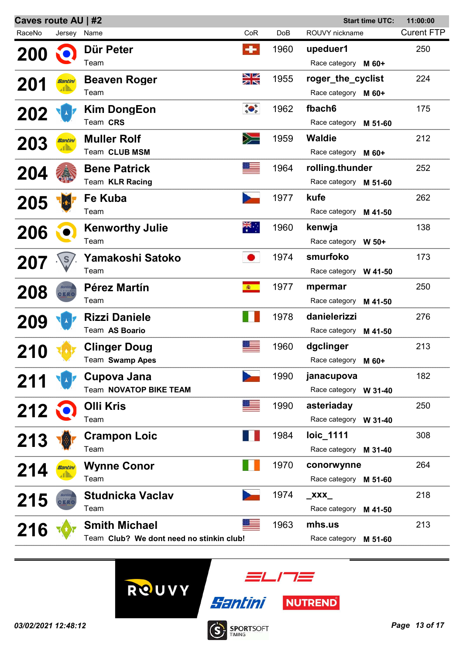| <b>Caves route AU   #2</b><br><b>Start time UTC:</b> |                |                                          |                                                                                                                                                                                                                                                                                                                                                     |            |                          | 11:00:00          |
|------------------------------------------------------|----------------|------------------------------------------|-----------------------------------------------------------------------------------------------------------------------------------------------------------------------------------------------------------------------------------------------------------------------------------------------------------------------------------------------------|------------|--------------------------|-------------------|
| RaceNo                                               | Jersey Name    |                                          | CoR                                                                                                                                                                                                                                                                                                                                                 | <b>DoB</b> | ROUVY nickname           | <b>Curent FTP</b> |
| <b>200</b>                                           |                | Dür Peter                                | ÷                                                                                                                                                                                                                                                                                                                                                   | 1960       | upeduer1                 | 250               |
|                                                      |                | Team                                     |                                                                                                                                                                                                                                                                                                                                                     |            | Race category M 60+      |                   |
| <b>201</b>                                           | <u>Santini</u> | <b>Beaven Roger</b>                      | NK<br>AR                                                                                                                                                                                                                                                                                                                                            | 1955       | roger_the_cyclist        | 224               |
|                                                      |                | Team                                     |                                                                                                                                                                                                                                                                                                                                                     |            | Race category M 60+      |                   |
| 202                                                  |                | <b>Kim DongEon</b>                       | $\begin{picture}(180,10) \put(0,0){\line(1,0){10}} \put(10,0){\line(1,0){10}} \put(10,0){\line(1,0){10}} \put(10,0){\line(1,0){10}} \put(10,0){\line(1,0){10}} \put(10,0){\line(1,0){10}} \put(10,0){\line(1,0){10}} \put(10,0){\line(1,0){10}} \put(10,0){\line(1,0){10}} \put(10,0){\line(1,0){10}} \put(10,0){\line(1,0){10}} \put(10,0){\line($ | 1962       | fbach <sub>6</sub>       | 175               |
|                                                      |                | Team CRS                                 |                                                                                                                                                                                                                                                                                                                                                     |            | Race category M 51-60    |                   |
| 203                                                  | Santini        | <b>Muller Rolf</b>                       | $\geqslant$                                                                                                                                                                                                                                                                                                                                         | 1959       | <b>Waldie</b>            | 212               |
|                                                      |                | Team CLUB MSM                            |                                                                                                                                                                                                                                                                                                                                                     |            | Race category M 60+      |                   |
| 204                                                  |                | <b>Bene Patrick</b>                      |                                                                                                                                                                                                                                                                                                                                                     | 1964       | rolling.thunder          | 252               |
|                                                      |                | Team KLR Racing                          |                                                                                                                                                                                                                                                                                                                                                     |            | Race category M 51-60    |                   |
| 205                                                  |                | Fe Kuba                                  |                                                                                                                                                                                                                                                                                                                                                     | 1977       | kufe                     | 262               |
|                                                      |                | Team                                     |                                                                                                                                                                                                                                                                                                                                                     |            | Race category M 41-50    |                   |
| 206                                                  |                | <b>Kenworthy Julie</b>                   | $\frac{1}{\sqrt{2}}$                                                                                                                                                                                                                                                                                                                                | 1960       | kenwja                   | 138               |
|                                                      |                | Team                                     |                                                                                                                                                                                                                                                                                                                                                     |            | Race category W 50+      |                   |
| 207                                                  |                | Yamakoshi Satoko                         |                                                                                                                                                                                                                                                                                                                                                     | 1974       | smurfoko                 | 173               |
|                                                      |                | Team                                     |                                                                                                                                                                                                                                                                                                                                                     |            | Race category W 41-50    |                   |
| 208                                                  | CERC           | <b>Pérez Martín</b>                      | <b>商</b>                                                                                                                                                                                                                                                                                                                                            | 1977       | mpermar                  | 250               |
|                                                      |                | Team                                     |                                                                                                                                                                                                                                                                                                                                                     |            | Race category<br>M 41-50 |                   |
| 209                                                  |                | <b>Rizzi Daniele</b>                     |                                                                                                                                                                                                                                                                                                                                                     | 1978       | danielerizzi             | 276               |
|                                                      |                | Team AS Boario                           |                                                                                                                                                                                                                                                                                                                                                     |            | Race category M 41-50    |                   |
| <b>210</b>                                           |                | <b>Clinger Doug</b>                      |                                                                                                                                                                                                                                                                                                                                                     | 1960       | dgclinger                | 213               |
|                                                      |                | Team Swamp Apes                          |                                                                                                                                                                                                                                                                                                                                                     |            | Race category M 60+      |                   |
| 211                                                  |                | Cupova Jana                              |                                                                                                                                                                                                                                                                                                                                                     | 1990       | janacupova               | 182               |
|                                                      |                | Team NOVATOP BIKE TEAM                   |                                                                                                                                                                                                                                                                                                                                                     |            | Race category W 31-40    |                   |
| $212 \xi$                                            |                | <b>Olli Kris</b>                         |                                                                                                                                                                                                                                                                                                                                                     | 1990       | asteriaday               | 250               |
|                                                      |                | Team                                     |                                                                                                                                                                                                                                                                                                                                                     |            | Race category W 31-40    |                   |
| 213                                                  |                | <b>Crampon Loic</b>                      |                                                                                                                                                                                                                                                                                                                                                     | 1984       | loic_1111                | 308               |
|                                                      |                | Team                                     |                                                                                                                                                                                                                                                                                                                                                     |            | Race category M 31-40    |                   |
| 214                                                  | <u>Santini</u> | <b>Wynne Conor</b>                       |                                                                                                                                                                                                                                                                                                                                                     | 1970       | conorwynne               | 264               |
|                                                      |                | Team                                     |                                                                                                                                                                                                                                                                                                                                                     |            | Race category M 51-60    |                   |
| 215                                                  | GERC           | <b>Studnicka Vaclav</b>                  |                                                                                                                                                                                                                                                                                                                                                     | 1974       | $\mathbf{XXX}$           | 218               |
|                                                      |                | Team                                     |                                                                                                                                                                                                                                                                                                                                                     |            | Race category M 41-50    |                   |
| 216                                                  |                | <b>Smith Michael</b>                     |                                                                                                                                                                                                                                                                                                                                                     | 1963       | mhs.us                   | 213               |
|                                                      |                | Team Club? We dont need no stinkin club! |                                                                                                                                                                                                                                                                                                                                                     |            | Race category M 51-60    |                   |



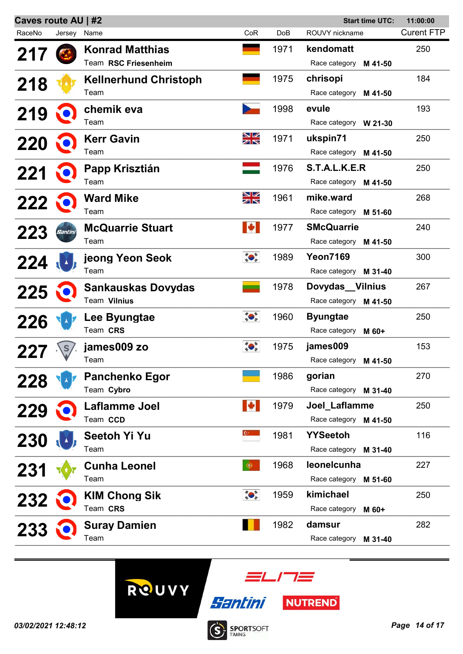| Caves route AU   #2 |             |                              |                                                                                                                                                                                                                                                                                                                                                     |                 |                       | <b>Start time UTC:</b> | 11:00:00          |
|---------------------|-------------|------------------------------|-----------------------------------------------------------------------------------------------------------------------------------------------------------------------------------------------------------------------------------------------------------------------------------------------------------------------------------------------------|-----------------|-----------------------|------------------------|-------------------|
| RaceNo              | Jersey Name |                              | CoR                                                                                                                                                                                                                                                                                                                                                 | Do <sub>B</sub> | ROUVY nickname        |                        | <b>Curent FTP</b> |
| 217                 |             | <b>Konrad Matthias</b>       |                                                                                                                                                                                                                                                                                                                                                     | 1971            | kendomatt             |                        | 250               |
|                     |             | Team RSC Friesenheim         |                                                                                                                                                                                                                                                                                                                                                     |                 | Race category         | M 41-50                |                   |
| 218                 |             | <b>Kellnerhund Christoph</b> |                                                                                                                                                                                                                                                                                                                                                     | 1975            | chrisopi              |                        | 184               |
|                     |             | Team                         |                                                                                                                                                                                                                                                                                                                                                     |                 | Race category M 41-50 |                        |                   |
| 219                 |             | chemik eva                   |                                                                                                                                                                                                                                                                                                                                                     | 1998            | evule                 |                        | 193               |
|                     |             | Team                         |                                                                                                                                                                                                                                                                                                                                                     |                 | Race category W 21-30 |                        |                   |
| 220                 |             | <b>Kerr Gavin</b>            | NK<br>AK                                                                                                                                                                                                                                                                                                                                            | 1971            | ukspin71              |                        | 250               |
|                     |             | Team                         |                                                                                                                                                                                                                                                                                                                                                     |                 | Race category M 41-50 |                        |                   |
| 221                 |             | Papp Krisztián               |                                                                                                                                                                                                                                                                                                                                                     | 1976            | S.T.A.L.K.E.R         |                        | 250               |
|                     |             | Team                         |                                                                                                                                                                                                                                                                                                                                                     |                 | Race category M 41-50 |                        |                   |
| 222                 |             | <b>Ward Mike</b>             | NK<br>NK                                                                                                                                                                                                                                                                                                                                            | 1961            | mike.ward             |                        | 268               |
|                     |             | Team                         |                                                                                                                                                                                                                                                                                                                                                     |                 | Race category M 51-60 |                        |                   |
| <b>223</b>          |             | <b>McQuarrie Stuart</b>      | M                                                                                                                                                                                                                                                                                                                                                   | 1977            | <b>SMcQuarrie</b>     |                        | 240               |
|                     |             | Team                         |                                                                                                                                                                                                                                                                                                                                                     |                 | Race category M 41-50 |                        |                   |
| 224                 |             | jeong Yeon Seok              | $\begin{picture}(120,10) \put(0,0){\line(1,0){15}} \put(15,0){\line(1,0){15}} \put(15,0){\line(1,0){15}} \put(15,0){\line(1,0){15}} \put(15,0){\line(1,0){15}} \put(15,0){\line(1,0){15}} \put(15,0){\line(1,0){15}} \put(15,0){\line(1,0){15}} \put(15,0){\line(1,0){15}} \put(15,0){\line(1,0){15}} \put(15,0){\line(1,0){15}} \put(15,0){\line($ | 1989            | <b>Yeon7169</b>       |                        | 300               |
|                     |             | Team                         |                                                                                                                                                                                                                                                                                                                                                     |                 | Race category M 31-40 |                        |                   |
| 225                 |             | <b>Sankauskas Dovydas</b>    |                                                                                                                                                                                                                                                                                                                                                     | 1978            | Dovydas Vilnius       |                        | 267               |
|                     |             | Team Vilnius                 |                                                                                                                                                                                                                                                                                                                                                     |                 | Race category M 41-50 |                        |                   |
| 226                 |             | Lee Byungtae                 | $\frac{1}{2}$                                                                                                                                                                                                                                                                                                                                       | 1960            | <b>Byungtae</b>       |                        | 250               |
|                     |             | Team CRS                     |                                                                                                                                                                                                                                                                                                                                                     |                 | Race category M 60+   |                        |                   |
|                     |             | james009 zo                  | ***                                                                                                                                                                                                                                                                                                                                                 | 1975            | james009              |                        | 153               |
|                     |             | Team                         |                                                                                                                                                                                                                                                                                                                                                     |                 | Race category M 41-50 |                        |                   |
| 228                 |             | <b>Panchenko Egor</b>        |                                                                                                                                                                                                                                                                                                                                                     | 1986            | gorian                |                        | 270               |
|                     |             | Team Cybro                   |                                                                                                                                                                                                                                                                                                                                                     |                 | Race category M 31-40 |                        |                   |
| 229                 |             | Laflamme Joel                | H                                                                                                                                                                                                                                                                                                                                                   | 1979            | Joel_Laflamme         |                        | 250               |
|                     |             | Team CCD                     |                                                                                                                                                                                                                                                                                                                                                     |                 | Race category M 41-50 |                        |                   |
| 230                 |             | <b>Seetoh Yi Yu</b>          | $\mathbb{C}$                                                                                                                                                                                                                                                                                                                                        | 1981            | <b>YYSeetoh</b>       |                        | 116               |
|                     |             | Team                         |                                                                                                                                                                                                                                                                                                                                                     |                 | Race category M 31-40 |                        |                   |
| <b>231</b>          |             | <b>Cunha Leonel</b>          | ⊕                                                                                                                                                                                                                                                                                                                                                   | 1968            | leonelcunha           |                        | 227               |
|                     |             | Team                         |                                                                                                                                                                                                                                                                                                                                                     |                 | Race category M 51-60 |                        |                   |
| 232                 |             | <b>KIM Chong Sik</b>         |                                                                                                                                                                                                                                                                                                                                                     | 1959            | kimichael             |                        | 250               |
|                     |             | Team CRS                     |                                                                                                                                                                                                                                                                                                                                                     |                 | Race category         | M 60+                  |                   |
| 233                 |             | <b>Suray Damien</b>          |                                                                                                                                                                                                                                                                                                                                                     | 1982            | damsur                |                        | 282               |
|                     |             | Team                         |                                                                                                                                                                                                                                                                                                                                                     |                 | Race category         | M 31-40                |                   |
|                     |             |                              |                                                                                                                                                                                                                                                                                                                                                     |                 |                       |                        |                   |





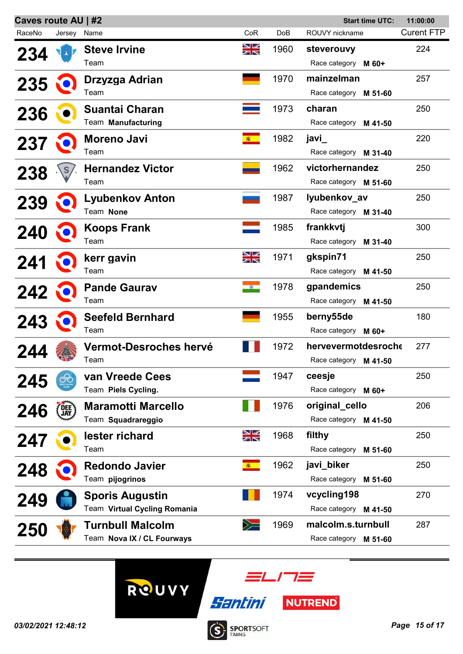| Caves route AU   #2 |             |                              |                 | <b>Start time UTC:</b> |                          | 11:00:00          |
|---------------------|-------------|------------------------------|-----------------|------------------------|--------------------------|-------------------|
| RaceNo              | Jersey Name |                              | CoR             | DoB                    | ROUVY nickname           | <b>Curent FTP</b> |
| <b>234</b>          |             | <b>Steve Irvine</b>          | NK<br>NK        | 1960                   | steverouvy               | 224               |
|                     |             | Team                         |                 |                        | Race category M 60+      |                   |
| 235                 |             | Drzyzga Adrian               |                 | 1970                   | mainzelman               | 257               |
|                     |             | Team                         |                 |                        | Race category M 51-60    |                   |
| 236                 |             | Suantai Charan               |                 | 1973                   | charan                   | 250               |
|                     |             | Team Manufacturing           |                 |                        | Race category M 41-50    |                   |
| 237                 |             | Moreno Javi                  | 衞               | 1982                   | javi_                    | 220               |
|                     |             | Team                         |                 |                        | Race category M 31-40    |                   |
| 238                 |             | <b>Hernandez Victor</b>      |                 | 1962                   | victorhernandez          | 250               |
|                     |             | Team                         |                 |                        | Race category M 51-60    |                   |
| 239                 |             | Lyubenkov Anton              |                 | 1987                   | lyubenkov_av             | 250               |
|                     |             | Team None                    |                 |                        | Race category M 31-40    |                   |
| 240                 |             | <b>Koops Frank</b>           |                 | 1985                   | frankkvtj                | 300               |
|                     |             | Team                         |                 |                        | Race category M 31-40    |                   |
| 241                 |             | kerr gavin                   | NK<br>NK        | 1971                   | gkspin71                 | 250               |
|                     |             | Team                         |                 |                        | Race category M 41-50    |                   |
| 242                 |             | <b>Pande Gaurav</b>          | $\sim$ $\sigma$ | 1978                   | gpandemics               | 250               |
|                     |             | Team                         |                 |                        | Race category M 41-50    |                   |
| 243                 |             | <b>Seefeld Bernhard</b>      |                 | 1955                   | berny55de                | 180               |
|                     |             | Team                         |                 |                        | Race category M 60+      |                   |
| 244                 |             | Vermot-Desroches hervé       |                 | 1972                   | hervevermotdesroche      | 277               |
|                     |             | Team                         |                 |                        | Race category M 41-50    |                   |
| 245                 |             | van Vreede Cees              |                 | 1947                   | ceesje                   | 250               |
|                     |             | Team Piels Cycling.          |                 |                        | Race category M 60+      |                   |
| 246                 | DEE)<br>JAY | <b>Maramotti Marcello</b>    |                 | 1976                   | original_cello           | 206               |
|                     |             | Team Squadrareggio           |                 |                        | Race category M 41-50    |                   |
| 247                 |             | lester richard               | NK<br>AK        | 1968                   | filthy                   | 250               |
|                     |             | Team                         |                 |                        | Race category<br>M 51-60 |                   |
| 248                 |             | <b>Redondo Javier</b>        | (图)             | 1962                   | javi_biker               | 250               |
|                     |             | Team pijogrinos              |                 |                        | Race category<br>M 51-60 |                   |
| 249                 |             | <b>Sporis Augustin</b>       |                 | 1974                   | vcycling198              | 270               |
|                     |             | Team Virtual Cycling Romania |                 |                        | Race category M 41-50    |                   |
| 250                 |             | <b>Turnbull Malcolm</b>      | $\geqslant$     | 1969                   | malcolm.s.turnbull       | 287               |
|                     |             | Team Nova IX / CL Fourways   |                 |                        | Race category M 51-60    |                   |
|                     |             |                              |                 |                        |                          |                   |





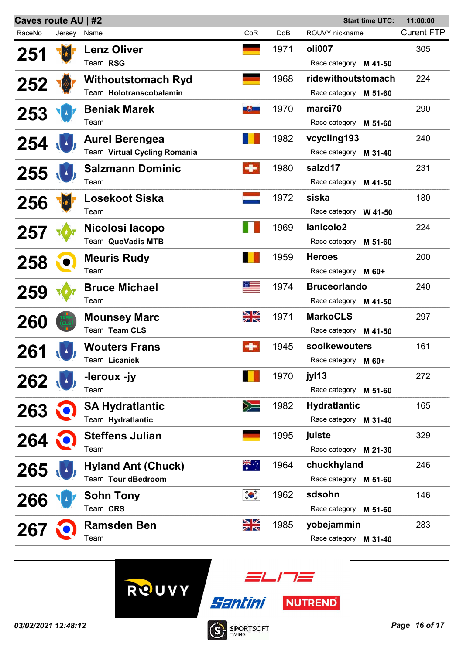| Caves route AU   #2<br><b>Start time UTC:</b> |             |                              |                                                                                                                                                                                                                                                                                                                                                     |      |                       | 11:00:00          |
|-----------------------------------------------|-------------|------------------------------|-----------------------------------------------------------------------------------------------------------------------------------------------------------------------------------------------------------------------------------------------------------------------------------------------------------------------------------------------------|------|-----------------------|-------------------|
| RaceNo                                        | Jersey Name |                              | CoR                                                                                                                                                                                                                                                                                                                                                 | DoB  | ROUVY nickname        | <b>Curent FTP</b> |
| 251                                           |             | <b>Lenz Oliver</b>           |                                                                                                                                                                                                                                                                                                                                                     | 1971 | oli007                | 305               |
|                                               |             | Team RSG                     |                                                                                                                                                                                                                                                                                                                                                     |      | Race category M 41-50 |                   |
|                                               |             | <b>Withoutstomach Ryd</b>    |                                                                                                                                                                                                                                                                                                                                                     | 1968 | ridewithoutstomach    | 224               |
| 252                                           |             | Team Holotranscobalamin      |                                                                                                                                                                                                                                                                                                                                                     |      | Race category M 51-60 |                   |
| 253                                           |             | <b>Beniak Marek</b>          | 地                                                                                                                                                                                                                                                                                                                                                   | 1970 | marci70               | 290               |
|                                               |             | Team                         |                                                                                                                                                                                                                                                                                                                                                     |      | Race category M 51-60 |                   |
| 254                                           |             | <b>Aurel Berengea</b>        |                                                                                                                                                                                                                                                                                                                                                     | 1982 | vcycling193           | 240               |
|                                               |             | Team Virtual Cycling Romania |                                                                                                                                                                                                                                                                                                                                                     |      | Race category M 31-40 |                   |
| 255                                           |             | <b>Salzmann Dominic</b>      | $\div$                                                                                                                                                                                                                                                                                                                                              | 1980 | salzd17               | 231               |
|                                               |             | Team                         |                                                                                                                                                                                                                                                                                                                                                     |      | Race category M 41-50 |                   |
| 256                                           |             | <b>Losekoot Siska</b>        |                                                                                                                                                                                                                                                                                                                                                     | 1972 | siska                 | 180               |
|                                               |             | Team                         |                                                                                                                                                                                                                                                                                                                                                     |      | Race category W 41-50 |                   |
| 257                                           |             | Nicolosi Iacopo              |                                                                                                                                                                                                                                                                                                                                                     | 1969 | ianicolo2             | 224               |
|                                               |             | Team QuoVadis MTB            |                                                                                                                                                                                                                                                                                                                                                     |      | Race category M 51-60 |                   |
| 258                                           |             | <b>Meuris Rudy</b>           |                                                                                                                                                                                                                                                                                                                                                     | 1959 | <b>Heroes</b>         | 200               |
|                                               |             | Team                         |                                                                                                                                                                                                                                                                                                                                                     |      | Race category M 60+   |                   |
| 259                                           |             | <b>Bruce Michael</b>         |                                                                                                                                                                                                                                                                                                                                                     | 1974 | <b>Bruceorlando</b>   | 240               |
|                                               |             | Team                         |                                                                                                                                                                                                                                                                                                                                                     |      | Race category M 41-50 |                   |
| 260                                           |             | <b>Mounsey Marc</b>          | NK<br>AK                                                                                                                                                                                                                                                                                                                                            | 1971 | <b>MarkoCLS</b>       | 297               |
|                                               |             | Team Team CLS                |                                                                                                                                                                                                                                                                                                                                                     |      | Race category M 41-50 |                   |
| 261                                           |             | <b>Wouters Frans</b>         | $\bullet$                                                                                                                                                                                                                                                                                                                                           | 1945 | sooikewouters         | 161               |
|                                               |             | Team Licaniek                |                                                                                                                                                                                                                                                                                                                                                     |      | Race category M 60+   |                   |
| 262                                           |             | -leroux -iv                  |                                                                                                                                                                                                                                                                                                                                                     | 1970 | jyl13                 | 272               |
|                                               |             | Team                         |                                                                                                                                                                                                                                                                                                                                                     |      | Race category M 51-60 |                   |
| 263                                           |             | <b>SA Hydratlantic</b>       | $\geq$                                                                                                                                                                                                                                                                                                                                              | 1982 | <b>Hydratlantic</b>   | 165               |
|                                               |             | Team Hydratlantic            |                                                                                                                                                                                                                                                                                                                                                     |      | Race category M 31-40 |                   |
| 264                                           |             | <b>Steffens Julian</b>       |                                                                                                                                                                                                                                                                                                                                                     | 1995 | julste                | 329               |
|                                               |             | Team                         |                                                                                                                                                                                                                                                                                                                                                     |      | Race category M 21-30 |                   |
| 265                                           |             | <b>Hyland Ant (Chuck)</b>    | ▓€∴                                                                                                                                                                                                                                                                                                                                                 | 1964 | chuckhyland           | 246               |
|                                               |             | Team Tour dBedroom           |                                                                                                                                                                                                                                                                                                                                                     |      | Race category M 51-60 |                   |
| 266                                           |             | <b>Sohn Tony</b>             | $\begin{picture}(120,10) \put(0,0){\line(1,0){15}} \put(15,0){\line(1,0){15}} \put(15,0){\line(1,0){15}} \put(15,0){\line(1,0){15}} \put(15,0){\line(1,0){15}} \put(15,0){\line(1,0){15}} \put(15,0){\line(1,0){15}} \put(15,0){\line(1,0){15}} \put(15,0){\line(1,0){15}} \put(15,0){\line(1,0){15}} \put(15,0){\line(1,0){15}} \put(15,0){\line($ | 1962 | sdsohn                | 146               |
|                                               |             | Team CRS                     |                                                                                                                                                                                                                                                                                                                                                     |      | Race category M 51-60 |                   |
| 267                                           |             | <b>Ramsden Ben</b>           | NK<br>AK                                                                                                                                                                                                                                                                                                                                            | 1985 | yobejammin            | 283               |
|                                               |             | Team                         |                                                                                                                                                                                                                                                                                                                                                     |      | Race category M 31-40 |                   |
|                                               |             |                              |                                                                                                                                                                                                                                                                                                                                                     |      |                       |                   |